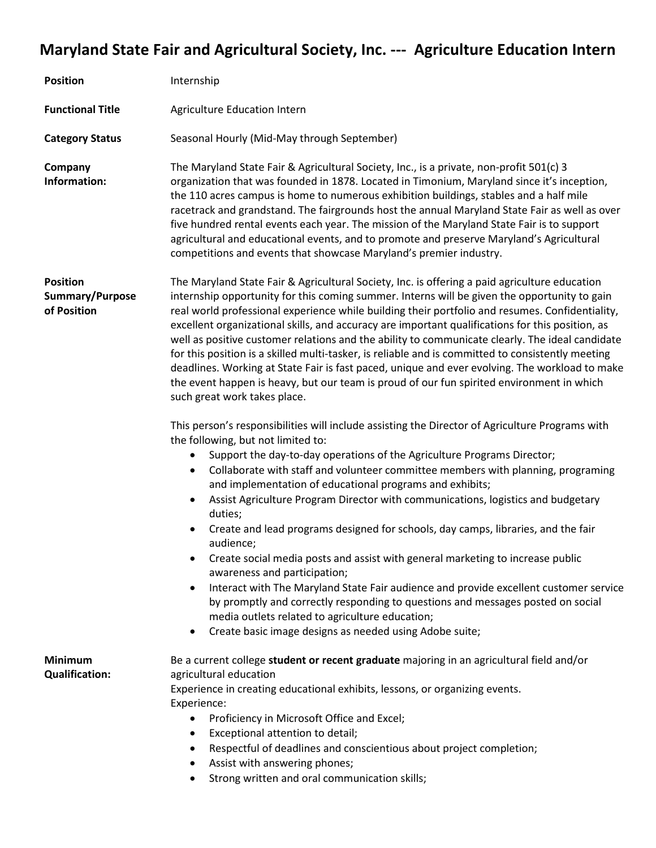## **Maryland State Fair and Agricultural Society, Inc. --- Agriculture Education Intern**

| <b>Position</b>                                   | Internship                                                                                                                                                                                                                                                                                                                                                                                                                                                                                                                                                                                                                                                                                                                                                                                                                                                                                                                                                                                                           |
|---------------------------------------------------|----------------------------------------------------------------------------------------------------------------------------------------------------------------------------------------------------------------------------------------------------------------------------------------------------------------------------------------------------------------------------------------------------------------------------------------------------------------------------------------------------------------------------------------------------------------------------------------------------------------------------------------------------------------------------------------------------------------------------------------------------------------------------------------------------------------------------------------------------------------------------------------------------------------------------------------------------------------------------------------------------------------------|
| <b>Functional Title</b>                           | Agriculture Education Intern                                                                                                                                                                                                                                                                                                                                                                                                                                                                                                                                                                                                                                                                                                                                                                                                                                                                                                                                                                                         |
| <b>Category Status</b>                            | Seasonal Hourly (Mid-May through September)                                                                                                                                                                                                                                                                                                                                                                                                                                                                                                                                                                                                                                                                                                                                                                                                                                                                                                                                                                          |
| Company<br>Information:                           | The Maryland State Fair & Agricultural Society, Inc., is a private, non-profit 501(c) 3<br>organization that was founded in 1878. Located in Timonium, Maryland since it's inception,<br>the 110 acres campus is home to numerous exhibition buildings, stables and a half mile<br>racetrack and grandstand. The fairgrounds host the annual Maryland State Fair as well as over<br>five hundred rental events each year. The mission of the Maryland State Fair is to support<br>agricultural and educational events, and to promote and preserve Maryland's Agricultural<br>competitions and events that showcase Maryland's premier industry.                                                                                                                                                                                                                                                                                                                                                                     |
| <b>Position</b><br>Summary/Purpose<br>of Position | The Maryland State Fair & Agricultural Society, Inc. is offering a paid agriculture education<br>internship opportunity for this coming summer. Interns will be given the opportunity to gain<br>real world professional experience while building their portfolio and resumes. Confidentiality,<br>excellent organizational skills, and accuracy are important qualifications for this position, as<br>well as positive customer relations and the ability to communicate clearly. The ideal candidate<br>for this position is a skilled multi-tasker, is reliable and is committed to consistently meeting<br>deadlines. Working at State Fair is fast paced, unique and ever evolving. The workload to make<br>the event happen is heavy, but our team is proud of our fun spirited environment in which<br>such great work takes place.                                                                                                                                                                          |
|                                                   | This person's responsibilities will include assisting the Director of Agriculture Programs with<br>the following, but not limited to:<br>Support the day-to-day operations of the Agriculture Programs Director;<br>Collaborate with staff and volunteer committee members with planning, programing<br>$\bullet$<br>and implementation of educational programs and exhibits;<br>Assist Agriculture Program Director with communications, logistics and budgetary<br>$\bullet$<br>duties;<br>Create and lead programs designed for schools, day camps, libraries, and the fair<br>audience;<br>Create social media posts and assist with general marketing to increase public<br>awareness and participation;<br>Interact with The Maryland State Fair audience and provide excellent customer service<br>by promptly and correctly responding to questions and messages posted on social<br>media outlets related to agriculture education;<br>Create basic image designs as needed using Adobe suite;<br>$\bullet$ |
| <b>Minimum</b><br><b>Qualification:</b>           | Be a current college student or recent graduate majoring in an agricultural field and/or<br>agricultural education<br>Experience in creating educational exhibits, lessons, or organizing events.<br>Experience:<br>Proficiency in Microsoft Office and Excel;<br>Exceptional attention to detail;<br>$\bullet$<br>Respectful of deadlines and conscientious about project completion;<br>٠<br>Assist with answering phones;<br>$\bullet$<br>Strong written and oral communication skills;<br>$\bullet$                                                                                                                                                                                                                                                                                                                                                                                                                                                                                                              |